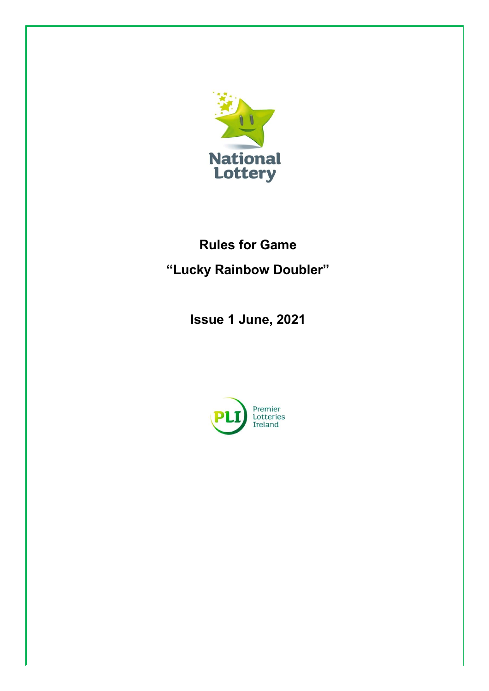

# **Rules for Game "Lucky Rainbow Doubler"**

**Issue 1 June, 2021**

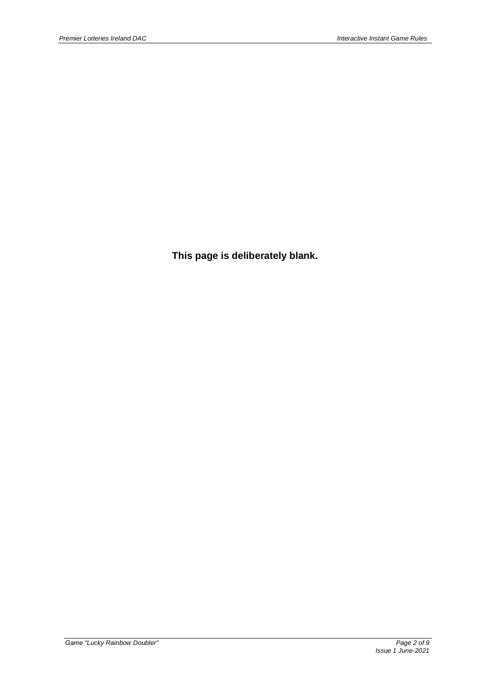**This page is deliberately blank.**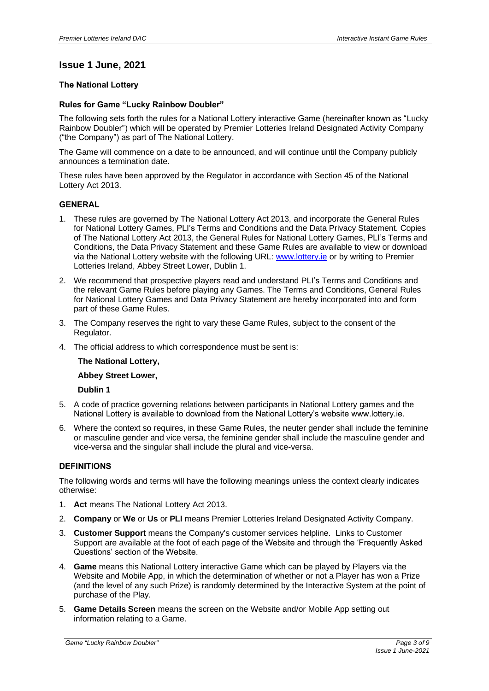# **Issue 1 June, 2021**

## **The National Lottery**

#### **Rules for Game "Lucky Rainbow Doubler"**

The following sets forth the rules for a National Lottery interactive Game (hereinafter known as "Lucky Rainbow Doubler") which will be operated by Premier Lotteries Ireland Designated Activity Company ("the Company") as part of The National Lottery.

The Game will commence on a date to be announced, and will continue until the Company publicly announces a termination date.

These rules have been approved by the Regulator in accordance with Section 45 of the National Lottery Act 2013.

## **GENERAL**

- 1. These rules are governed by The National Lottery Act 2013, and incorporate the General Rules for National Lottery Games, PLI's Terms and Conditions and the Data Privacy Statement. Copies of The National Lottery Act 2013, the General Rules for National Lottery Games, PLI's Terms and Conditions, the Data Privacy Statement and these Game Rules are available to view or download via the National Lottery website with the following URL: [www.lottery.ie](http://www.lotto.ie/) or by writing to Premier Lotteries Ireland, Abbey Street Lower, Dublin 1.
- 2. We recommend that prospective players read and understand PLI's Terms and Conditions and the relevant Game Rules before playing any Games. The Terms and Conditions, General Rules for National Lottery Games and Data Privacy Statement are hereby incorporated into and form part of these Game Rules.
- 3. The Company reserves the right to vary these Game Rules, subject to the consent of the Regulator.
- 4. The official address to which correspondence must be sent is:

#### **The National Lottery,**

#### **Abbey Street Lower,**

**Dublin 1**

- 5. A code of practice governing relations between participants in National Lottery games and the National Lottery is available to download from the National Lottery's website www.lottery.ie.
- 6. Where the context so requires, in these Game Rules, the neuter gender shall include the feminine or masculine gender and vice versa, the feminine gender shall include the masculine gender and vice-versa and the singular shall include the plural and vice-versa.

#### **DEFINITIONS**

The following words and terms will have the following meanings unless the context clearly indicates otherwise:

- 1. **Act** means The National Lottery Act 2013.
- 2. **Company** or **We** or **Us** or **PLI** means Premier Lotteries Ireland Designated Activity Company.
- 3. **Customer Support** means the Company's customer services helpline. Links to Customer Support are available at the foot of each page of the Website and through the 'Frequently Asked Questions' section of the Website.
- 4. **Game** means this National Lottery interactive Game which can be played by Players via the Website and Mobile App, in which the determination of whether or not a Player has won a Prize (and the level of any such Prize) is randomly determined by the Interactive System at the point of purchase of the Play.
- 5. **Game Details Screen** means the screen on the Website and/or Mobile App setting out information relating to a Game.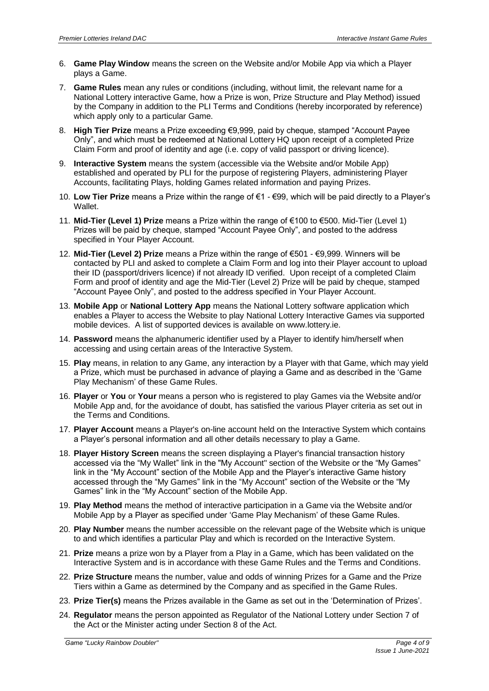- 6. **Game Play Window** means the screen on the Website and/or Mobile App via which a Player plays a Game.
- 7. **Game Rules** mean any rules or conditions (including, without limit, the relevant name for a National Lottery interactive Game, how a Prize is won, Prize Structure and Play Method) issued by the Company in addition to the PLI Terms and Conditions (hereby incorporated by reference) which apply only to a particular Game.
- 8. **High Tier Prize** means a Prize exceeding €9,999, paid by cheque, stamped "Account Payee Only", and which must be redeemed at National Lottery HQ upon receipt of a completed Prize Claim Form and proof of identity and age (i.e. copy of valid passport or driving licence).
- 9. **Interactive System** means the system (accessible via the Website and/or Mobile App) established and operated by PLI for the purpose of registering Players, administering Player Accounts, facilitating Plays, holding Games related information and paying Prizes.
- 10. **Low Tier Prize** means a Prize within the range of €1 €99, which will be paid directly to a Player's Wallet.
- 11. **Mid-Tier (Level 1) Prize** means a Prize within the range of €100 to €500. Mid-Tier (Level 1) Prizes will be paid by cheque, stamped "Account Payee Only", and posted to the address specified in Your Player Account.
- 12. **Mid-Tier (Level 2) Prize** means a Prize within the range of €501 €9,999. Winners will be contacted by PLI and asked to complete a Claim Form and log into their Player account to upload their ID (passport/drivers licence) if not already ID verified. Upon receipt of a completed Claim Form and proof of identity and age the Mid-Tier (Level 2) Prize will be paid by cheque, stamped "Account Payee Only", and posted to the address specified in Your Player Account.
- 13. **Mobile App** or **National Lottery App** means the National Lottery software application which enables a Player to access the Website to play National Lottery Interactive Games via supported mobile devices. A list of supported devices is available on www.lottery.ie.
- 14. **Password** means the alphanumeric identifier used by a Player to identify him/herself when accessing and using certain areas of the Interactive System.
- 15. **Play** means, in relation to any Game, any interaction by a Player with that Game, which may yield a Prize, which must be purchased in advance of playing a Game and as described in the 'Game Play Mechanism' of these Game Rules.
- 16. **Player** or **You** or **Your** means a person who is registered to play Games via the Website and/or Mobile App and, for the avoidance of doubt, has satisfied the various Player criteria as set out in the Terms and Conditions.
- 17. **Player Account** means a Player's on-line account held on the Interactive System which contains a Player's personal information and all other details necessary to play a Game.
- 18. **Player History Screen** means the screen displaying a Player's financial transaction history accessed via the "My Wallet" link in the "My Account" section of the Website or the "My Games" link in the "My Account" section of the Mobile App and the Player's interactive Game history accessed through the "My Games" link in the "My Account" section of the Website or the "My Games" link in the "My Account" section of the Mobile App.
- 19. **Play Method** means the method of interactive participation in a Game via the Website and/or Mobile App by a Player as specified under 'Game Play Mechanism' of these Game Rules.
- 20. **Play Number** means the number accessible on the relevant page of the Website which is unique to and which identifies a particular Play and which is recorded on the Interactive System.
- 21. **Prize** means a prize won by a Player from a Play in a Game, which has been validated on the Interactive System and is in accordance with these Game Rules and the Terms and Conditions.
- 22. **Prize Structure** means the number, value and odds of winning Prizes for a Game and the Prize Tiers within a Game as determined by the Company and as specified in the Game Rules.
- 23. **Prize Tier(s)** means the Prizes available in the Game as set out in the 'Determination of Prizes'.
- 24. **Regulator** means the person appointed as Regulator of the National Lottery under Section 7 of the Act or the Minister acting under Section 8 of the Act.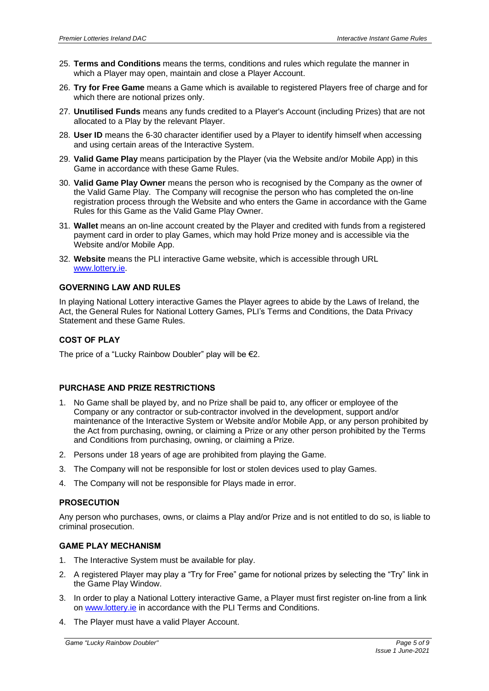- 25. **Terms and Conditions** means the terms, conditions and rules which regulate the manner in which a Player may open, maintain and close a Player Account.
- 26. **Try for Free Game** means a Game which is available to registered Players free of charge and for which there are notional prizes only.
- 27. **Unutilised Funds** means any funds credited to a Player's Account (including Prizes) that are not allocated to a Play by the relevant Player.
- 28. **User ID** means the 6-30 character identifier used by a Player to identify himself when accessing and using certain areas of the Interactive System.
- 29. **Valid Game Play** means participation by the Player (via the Website and/or Mobile App) in this Game in accordance with these Game Rules.
- 30. **Valid Game Play Owner** means the person who is recognised by the Company as the owner of the Valid Game Play. The Company will recognise the person who has completed the on-line registration process through the Website and who enters the Game in accordance with the Game Rules for this Game as the Valid Game Play Owner.
- 31. **Wallet** means an on-line account created by the Player and credited with funds from a registered payment card in order to play Games, which may hold Prize money and is accessible via the Website and/or Mobile App.
- 32. **Website** means the PLI interactive Game website, which is accessible through URL www.lottery.ie.

# **GOVERNING LAW AND RULES**

In playing National Lottery interactive Games the Player agrees to abide by the Laws of Ireland, the Act, the General Rules for National Lottery Games, PLI's Terms and Conditions, the Data Privacy Statement and these Game Rules.

## **COST OF PLAY**

The price of a "Lucky Rainbow Doubler" play will be €2.

## **PURCHASE AND PRIZE RESTRICTIONS**

- 1. No Game shall be played by, and no Prize shall be paid to, any officer or employee of the Company or any contractor or sub-contractor involved in the development, support and/or maintenance of the Interactive System or Website and/or Mobile App, or any person prohibited by the Act from purchasing, owning, or claiming a Prize or any other person prohibited by the Terms and Conditions from purchasing, owning, or claiming a Prize.
- 2. Persons under 18 years of age are prohibited from playing the Game.
- 3. The Company will not be responsible for lost or stolen devices used to play Games.
- 4. The Company will not be responsible for Plays made in error.

### **PROSECUTION**

Any person who purchases, owns, or claims a Play and/or Prize and is not entitled to do so, is liable to criminal prosecution.

#### **GAME PLAY MECHANISM**

- 1. The Interactive System must be available for play.
- 2. A registered Player may play a "Try for Free" game for notional prizes by selecting the "Try" link in the Game Play Window.
- 3. In order to play a National Lottery interactive Game, a Player must first register on-line from a link on [www.lottery.ie](http://www.lotto.ie/) in accordance with the PLI Terms and Conditions.
- 4. The Player must have a valid Player Account.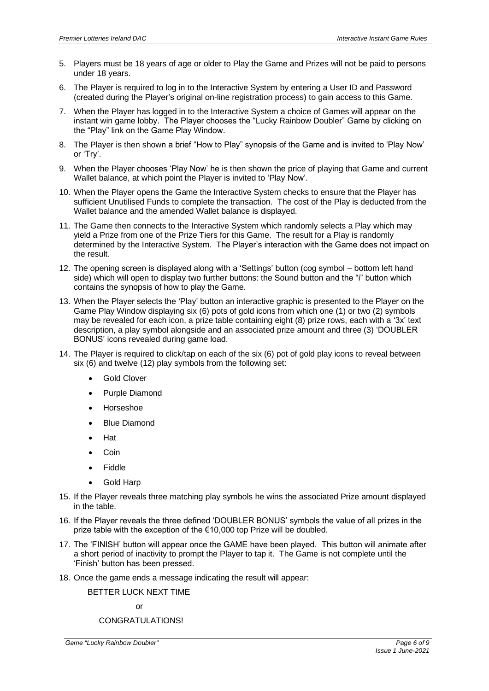- 5. Players must be 18 years of age or older to Play the Game and Prizes will not be paid to persons under 18 years.
- 6. The Player is required to log in to the Interactive System by entering a User ID and Password (created during the Player's original on-line registration process) to gain access to this Game.
- 7. When the Player has logged in to the Interactive System a choice of Games will appear on the instant win game lobby. The Player chooses the "Lucky Rainbow Doubler" Game by clicking on the "Play" link on the Game Play Window.
- 8. The Player is then shown a brief "How to Play" synopsis of the Game and is invited to 'Play Now' or 'Try'.
- 9. When the Player chooses 'Play Now' he is then shown the price of playing that Game and current Wallet balance, at which point the Player is invited to 'Play Now'.
- 10. When the Player opens the Game the Interactive System checks to ensure that the Player has sufficient Unutilised Funds to complete the transaction. The cost of the Play is deducted from the Wallet balance and the amended Wallet balance is displayed.
- 11. The Game then connects to the Interactive System which randomly selects a Play which may yield a Prize from one of the Prize Tiers for this Game. The result for a Play is randomly determined by the Interactive System. The Player's interaction with the Game does not impact on the result.
- 12. The opening screen is displayed along with a 'Settings' button (cog symbol bottom left hand side) which will open to display two further buttons: the Sound button and the "i" button which contains the synopsis of how to play the Game.
- 13. When the Player selects the 'Play' button an interactive graphic is presented to the Player on the Game Play Window displaying six (6) pots of gold icons from which one (1) or two (2) symbols may be revealed for each icon, a prize table containing eight (8) prize rows, each with a '3x' text description, a play symbol alongside and an associated prize amount and three (3) 'DOUBLER BONUS' icons revealed during game load.
- 14. The Player is required to click/tap on each of the six (6) pot of gold play icons to reveal between six (6) and twelve (12) play symbols from the following set:
	- Gold Clover
	- Purple Diamond
	- Horseshoe
	- **Blue Diamond**
	- Hat
	- Coin
	- **Fiddle**
	- Gold Harp
- 15. If the Player reveals three matching play symbols he wins the associated Prize amount displayed in the table.
- 16. If the Player reveals the three defined 'DOUBLER BONUS' symbols the value of all prizes in the prize table with the exception of the €10,000 top Prize will be doubled.
- 17. The 'FINISH' button will appear once the GAME have been played. This button will animate after a short period of inactivity to prompt the Player to tap it. The Game is not complete until the 'Finish' button has been pressed.
- 18. Once the game ends a message indicating the result will appear:

BETTER LUCK NEXT TIME

**or** *or* **or** 

CONGRATULATIONS!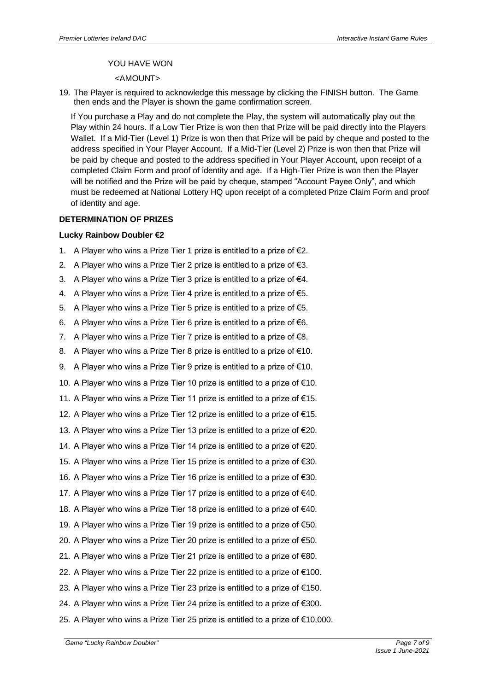## YOU HAVE WON

<AMOUNT>

19. The Player is required to acknowledge this message by clicking the FINISH button. The Game then ends and the Player is shown the game confirmation screen.

If You purchase a Play and do not complete the Play, the system will automatically play out the Play within 24 hours. If a Low Tier Prize is won then that Prize will be paid directly into the Players Wallet. If a Mid-Tier (Level 1) Prize is won then that Prize will be paid by cheque and posted to the address specified in Your Player Account. If a Mid-Tier (Level 2) Prize is won then that Prize will be paid by cheque and posted to the address specified in Your Player Account, upon receipt of a completed Claim Form and proof of identity and age. If a High-Tier Prize is won then the Player will be notified and the Prize will be paid by cheque, stamped "Account Payee Only", and which must be redeemed at National Lottery HQ upon receipt of a completed Prize Claim Form and proof of identity and age.

# **DETERMINATION OF PRIZES**

## **Lucky Rainbow Doubler €2**

- 1. A Player who wins a Prize Tier 1 prize is entitled to a prize of €2.
- 2. A Player who wins a Prize Tier 2 prize is entitled to a prize of €3.
- 3. A Player who wins a Prize Tier 3 prize is entitled to a prize of  $\epsilon$ 4.
- 4. A Player who wins a Prize Tier 4 prize is entitled to a prize of €5.
- 5. A Player who wins a Prize Tier 5 prize is entitled to a prize of €5.
- 6. A Player who wins a Prize Tier 6 prize is entitled to a prize of  $\epsilon$ 6.
- 7. A Player who wins a Prize Tier 7 prize is entitled to a prize of  $\epsilon$ 8.
- 8. A Player who wins a Prize Tier 8 prize is entitled to a prize of €10.
- 9. A Player who wins a Prize Tier 9 prize is entitled to a prize of €10.
- 10. A Player who wins a Prize Tier 10 prize is entitled to a prize of €10.
- 11. A Player who wins a Prize Tier 11 prize is entitled to a prize of €15.
- 12. A Player who wins a Prize Tier 12 prize is entitled to a prize of €15.
- 13. A Player who wins a Prize Tier 13 prize is entitled to a prize of €20.
- 14. A Player who wins a Prize Tier 14 prize is entitled to a prize of €20.
- 15. A Player who wins a Prize Tier 15 prize is entitled to a prize of €30.
- 16. A Player who wins a Prize Tier 16 prize is entitled to a prize of €30.
- 17. A Player who wins a Prize Tier 17 prize is entitled to a prize of €40.
- 18. A Player who wins a Prize Tier 18 prize is entitled to a prize of €40.
- 19. A Player who wins a Prize Tier 19 prize is entitled to a prize of €50.
- 20. A Player who wins a Prize Tier 20 prize is entitled to a prize of €50.
- 21. A Player who wins a Prize Tier 21 prize is entitled to a prize of €80.
- 22. A Player who wins a Prize Tier 22 prize is entitled to a prize of €100.
- 23. A Player who wins a Prize Tier 23 prize is entitled to a prize of €150.
- 24. A Player who wins a Prize Tier 24 prize is entitled to a prize of €300.
- 25. A Player who wins a Prize Tier 25 prize is entitled to a prize of €10,000.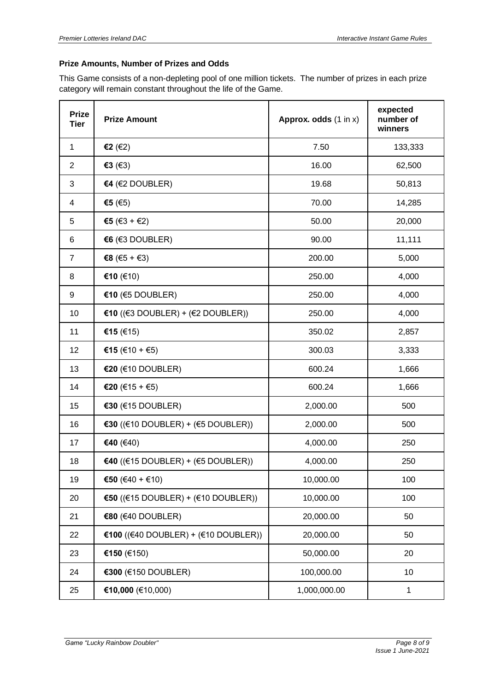# **Prize Amounts, Number of Prizes and Odds**

This Game consists of a non-depleting pool of one million tickets. The number of prizes in each prize category will remain constant throughout the life of the Game.

| <b>Prize</b><br><b>Tier</b> | <b>Prize Amount</b>                  | Approx. odds (1 in x) | expected<br>number of<br>winners |
|-----------------------------|--------------------------------------|-----------------------|----------------------------------|
| 1                           | €2 (€2)                              | 7.50                  | 133,333                          |
| $\overline{2}$              | €3 (€3)                              | 16.00                 | 62,500                           |
| $\mathbf{3}$                | €4 (€2 DOUBLER)                      | 19.68                 | 50,813                           |
| 4                           | €5 (€5)                              | 70.00                 | 14,285                           |
| 5                           | €5 (€3 + €2)                         | 50.00                 | 20,000                           |
| 6                           | €6 (€3 DOUBLER)                      | 90.00                 | 11,111                           |
| $\overline{7}$              | €8 (€5 + €3)                         | 200.00                | 5,000                            |
| 8                           | €10 (€10)                            | 250.00                | 4,000                            |
| 9                           | €10 (€5 DOUBLER)                     | 250.00                | 4,000                            |
| 10                          | €10 ((€3 DOUBLER) + (€2 DOUBLER))    | 250.00                | 4,000                            |
| 11                          | €15 (€15)                            | 350.02                | 2,857                            |
| 12                          | €15 (€10 + €5)                       | 300.03                | 3,333                            |
| 13                          | €20 (€10 DOUBLER)                    | 600.24                | 1,666                            |
| 14                          | €20 (€15 + €5)                       | 600.24                | 1,666                            |
| 15                          | €30 (€15 DOUBLER)                    | 2,000.00              | 500                              |
| 16                          | €30 ((€10 DOUBLER) + (€5 DOUBLER))   | 2,000.00              | 500                              |
| 17                          | €40 (€40)                            | 4,000.00              | 250                              |
| 18                          | €40 ((€15 DOUBLER) + (€5 DOUBLER))   | 4,000.00              | 250                              |
| 19                          | €50 (€40 + €10)                      | 10,000.00             | 100                              |
| 20                          | €50 ((€15 DOUBLER) + (€10 DOUBLER))  | 10,000.00             | 100                              |
| 21                          | €80 (€40 DOUBLER)                    | 20,000.00             | 50                               |
| 22                          | €100 ((€40 DOUBLER) + (€10 DOUBLER)) | 20,000.00             | 50                               |
| 23                          | €150 (€150)                          | 50,000.00             | 20                               |
| 24                          | €300 (€150 DOUBLER)                  | 100,000.00            | 10                               |
| 25                          | €10,000 (€10,000)                    | 1,000,000.00          | $\mathbf{1}$                     |